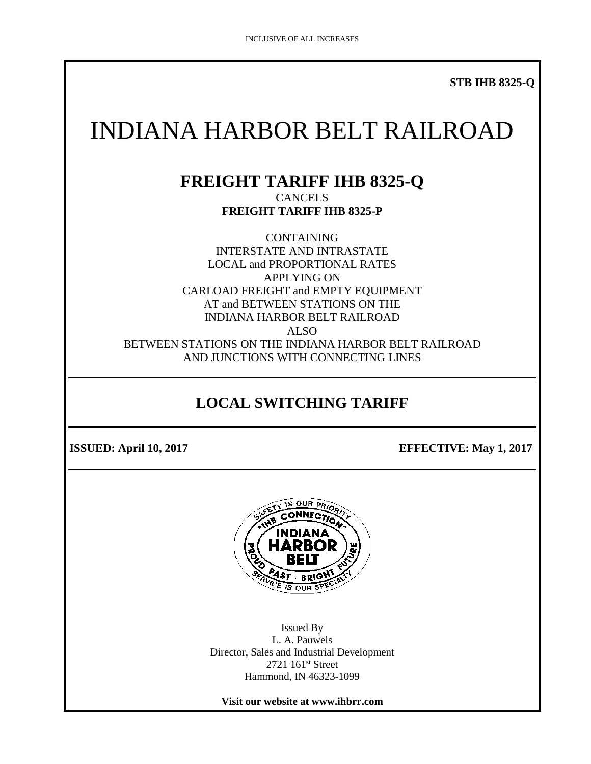**STB IHB 8325-Q**

# INDIANA HARBOR BELT RAILROAD

#### **FREIGHT TARIFF IHB 8325-Q CANCELS FREIGHT TARIFF IHB 8325-P**

CONTAINING INTERSTATE AND INTRASTATE LOCAL and PROPORTIONAL RATES APPLYING ON CARLOAD FREIGHT and EMPTY EQUIPMENT AT and BETWEEN STATIONS ON THE INDIANA HARBOR BELT RAILROAD ALSO BETWEEN STATIONS ON THE INDIANA HARBOR BELT RAILROAD AND JUNCTIONS WITH CONNECTING LINES

# **LOCAL SWITCHING TARIFF**

**ISSUED:** April 10, 2017 **EFFECTIVE:** May 1, 2017



Issued By L. A. Pauwels Director, Sales and Industrial Development 2721 161<sup>st</sup> Street Hammond, IN 46323-1099

**Visit our website at www.ihbrr.com**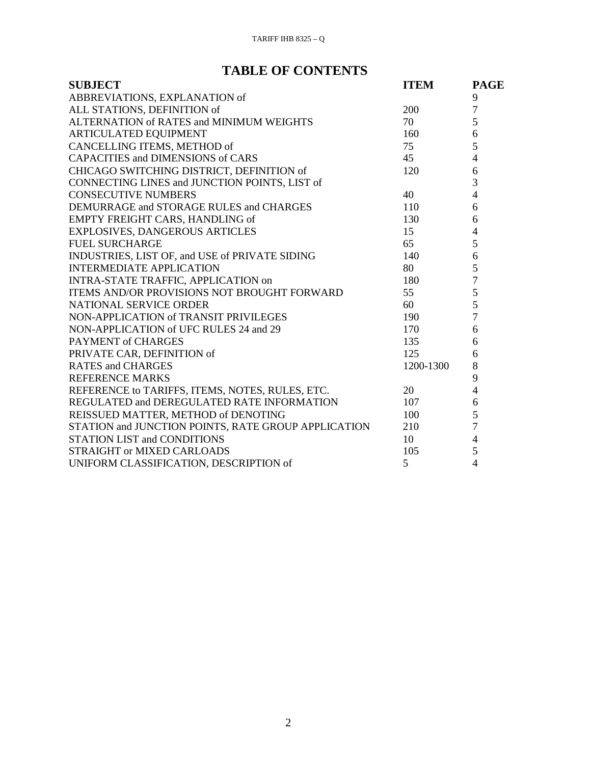# **TABLE OF CONTENTS**

| <b>SUBJECT</b>                                      | <b>ITEM</b> | <b>PAGE</b>    |
|-----------------------------------------------------|-------------|----------------|
| ABBREVIATIONS, EXPLANATION of                       |             | 9              |
| ALL STATIONS, DEFINITION of                         | 200         | $\overline{7}$ |
| ALTERNATION of RATES and MINIMUM WEIGHTS            | 70          | 5              |
| ARTICULATED EQUIPMENT                               | 160         | 6              |
| CANCELLING ITEMS, METHOD of                         | 75          | 5              |
| <b>CAPACITIES and DIMENSIONS of CARS</b>            | 45          | $\overline{4}$ |
| CHICAGO SWITCHING DISTRICT, DEFINITION of           | 120         | 6              |
| CONNECTING LINES and JUNCTION POINTS, LIST of       |             | 3              |
| <b>CONSECUTIVE NUMBERS</b>                          | 40          | $\overline{4}$ |
| DEMURRAGE and STORAGE RULES and CHARGES             | 110         | 6              |
| EMPTY FREIGHT CARS, HANDLING of                     | 130         | 6              |
| <b>EXPLOSIVES, DANGEROUS ARTICLES</b>               | 15          | $\overline{4}$ |
| <b>FUEL SURCHARGE</b>                               | 65          | 5              |
| INDUSTRIES, LIST OF, and USE of PRIVATE SIDING      | 140         | $\sqrt{6}$     |
| <b>INTERMEDIATE APPLICATION</b>                     | 80          | 5              |
| INTRA-STATE TRAFFIC, APPLICATION on                 | 180         | $\overline{7}$ |
| <b>ITEMS AND/OR PROVISIONS NOT BROUGHT FORWARD</b>  | 55          | 5              |
| NATIONAL SERVICE ORDER                              | 60          | 5              |
| NON-APPLICATION of TRANSIT PRIVILEGES               | 190         | $\overline{7}$ |
| NON-APPLICATION of UFC RULES 24 and 29              | 170         | 6              |
| PAYMENT of CHARGES                                  | 135         | 6              |
| PRIVATE CAR, DEFINITION of                          | 125         | 6              |
| <b>RATES and CHARGES</b>                            | 1200-1300   | 8              |
| <b>REFERENCE MARKS</b>                              |             | 9              |
| REFERENCE to TARIFFS, ITEMS, NOTES, RULES, ETC.     | 20          | $\overline{4}$ |
| REGULATED and DEREGULATED RATE INFORMATION          | 107         | 6              |
| REISSUED MATTER, METHOD of DENOTING                 | 100         | $rac{5}{7}$    |
| STATION and JUNCTION POINTS, RATE GROUP APPLICATION | 210         |                |
| <b>STATION LIST and CONDITIONS</b>                  | 10          | $\overline{4}$ |
| STRAIGHT or MIXED CARLOADS                          | 105         | 5              |
| UNIFORM CLASSIFICATION, DESCRIPTION of              | 5           | $\overline{4}$ |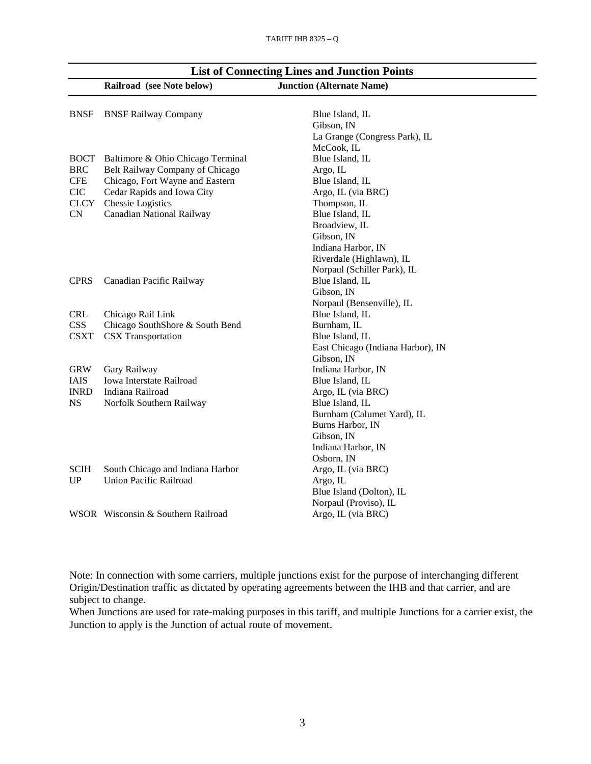|             | Railroad (see Note below)          | <b>Junction (Alternate Name)</b>  |
|-------------|------------------------------------|-----------------------------------|
| <b>BNSF</b> | <b>BNSF Railway Company</b>        | Blue Island, IL                   |
|             |                                    | Gibson, IN                        |
|             |                                    | La Grange (Congress Park), IL     |
|             |                                    | McCook, IL                        |
| <b>BOCT</b> | Baltimore & Ohio Chicago Terminal  | Blue Island, IL                   |
| <b>BRC</b>  | Belt Railway Company of Chicago    | Argo, IL                          |
| <b>CFE</b>  | Chicago, Fort Wayne and Eastern    | Blue Island, IL                   |
| <b>CIC</b>  | Cedar Rapids and Iowa City         | Argo, IL (via BRC)                |
| <b>CLCY</b> | Chessie Logistics                  | Thompson, IL                      |
| <b>CN</b>   | Canadian National Railway          | Blue Island, IL                   |
|             |                                    | Broadview, IL                     |
|             |                                    | Gibson, IN                        |
|             |                                    | Indiana Harbor, IN                |
|             |                                    | Riverdale (Highlawn), IL          |
|             |                                    | Norpaul (Schiller Park), IL       |
| <b>CPRS</b> | Canadian Pacific Railway           | Blue Island, IL                   |
|             |                                    | Gibson, IN                        |
|             |                                    | Norpaul (Bensenville), IL         |
| <b>CRL</b>  | Chicago Rail Link                  | Blue Island, IL                   |
| <b>CSS</b>  | Chicago SouthShore & South Bend    | Burnham, IL                       |
| <b>CSXT</b> | <b>CSX</b> Transportation          | Blue Island, IL                   |
|             |                                    | East Chicago (Indiana Harbor), IN |
|             |                                    | Gibson, IN                        |
| <b>GRW</b>  | Gary Railway                       | Indiana Harbor, IN                |
| <b>IAIS</b> | Iowa Interstate Railroad           | Blue Island, IL                   |
| <b>INRD</b> | Indiana Railroad                   | Argo, IL (via BRC)                |
| <b>NS</b>   | Norfolk Southern Railway           | Blue Island, IL                   |
|             |                                    | Burnham (Calumet Yard), IL        |
|             |                                    | Burns Harbor, IN                  |
|             |                                    | Gibson, IN                        |
|             |                                    | Indiana Harbor, IN                |
|             |                                    | Osborn, IN                        |
| <b>SCIH</b> | South Chicago and Indiana Harbor   | Argo, IL (via BRC)                |
| UP          | <b>Union Pacific Railroad</b>      | Argo, IL                          |
|             |                                    | Blue Island (Dolton), IL          |
|             |                                    | Norpaul (Proviso), IL             |
|             | WSOR Wisconsin & Southern Railroad | Argo, IL (via BRC)                |

#### **List of Connecting Lines and Junction Points**

Note: In connection with some carriers, multiple junctions exist for the purpose of interchanging different Origin/Destination traffic as dictated by operating agreements between the IHB and that carrier, and are subject to change.

When Junctions are used for rate-making purposes in this tariff, and multiple Junctions for a carrier exist, the Junction to apply is the Junction of actual route of movement.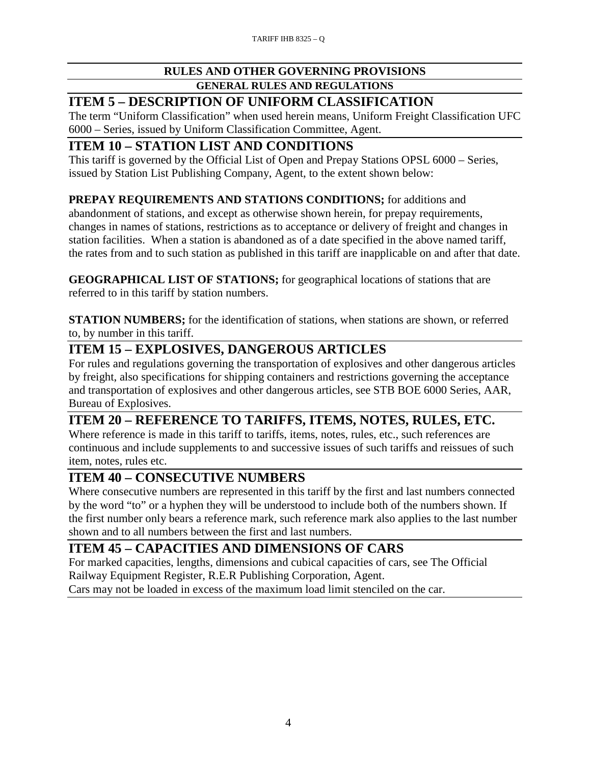#### **RULES AND OTHER GOVERNING PROVISIONS**

#### **GENERAL RULES AND REGULATIONS**

#### **ITEM 5 – DESCRIPTION OF UNIFORM CLASSIFICATION**

The term "Uniform Classification" when used herein means, Uniform Freight Classification UFC 6000 – Series, issued by Uniform Classification Committee, Agent.

#### **ITEM 10 – STATION LIST AND CONDITIONS**

This tariff is governed by the Official List of Open and Prepay Stations OPSL 6000 – Series, issued by Station List Publishing Company, Agent, to the extent shown below:

#### **PREPAY REQUIREMENTS AND STATIONS CONDITIONS;** for additions and

abandonment of stations, and except as otherwise shown herein, for prepay requirements, changes in names of stations, restrictions as to acceptance or delivery of freight and changes in station facilities. When a station is abandoned as of a date specified in the above named tariff, the rates from and to such station as published in this tariff are inapplicable on and after that date.

**GEOGRAPHICAL LIST OF STATIONS;** for geographical locations of stations that are referred to in this tariff by station numbers.

**STATION NUMBERS;** for the identification of stations, when stations are shown, or referred to, by number in this tariff.

# **ITEM 15 – EXPLOSIVES, DANGEROUS ARTICLES**

For rules and regulations governing the transportation of explosives and other dangerous articles by freight, also specifications for shipping containers and restrictions governing the acceptance and transportation of explosives and other dangerous articles, see STB BOE 6000 Series, AAR, Bureau of Explosives.

#### **ITEM 20 – REFERENCE TO TARIFFS, ITEMS, NOTES, RULES, ETC.**

Where reference is made in this tariff to tariffs, items, notes, rules, etc., such references are continuous and include supplements to and successive issues of such tariffs and reissues of such item, notes, rules etc.

#### **ITEM 40 – CONSECUTIVE NUMBERS**

Where consecutive numbers are represented in this tariff by the first and last numbers connected by the word "to" or a hyphen they will be understood to include both of the numbers shown. If the first number only bears a reference mark, such reference mark also applies to the last number shown and to all numbers between the first and last numbers.

#### **ITEM 45 – CAPACITIES AND DIMENSIONS OF CARS**

For marked capacities, lengths, dimensions and cubical capacities of cars, see The Official Railway Equipment Register, R.E.R Publishing Corporation, Agent.

Cars may not be loaded in excess of the maximum load limit stenciled on the car.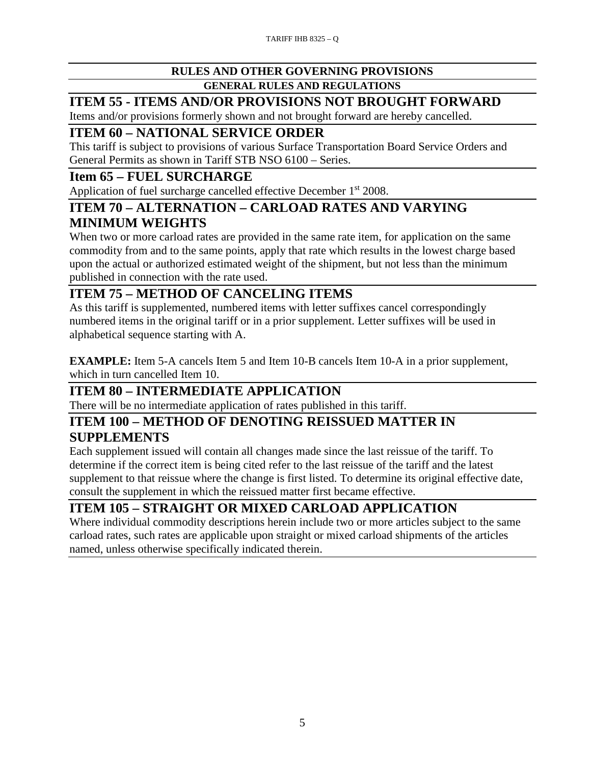#### **RULES AND OTHER GOVERNING PROVISIONS**

#### **GENERAL RULES AND REGULATIONS**

# **ITEM 55 - ITEMS AND/OR PROVISIONS NOT BROUGHT FORWARD**

Items and/or provisions formerly shown and not brought forward are hereby cancelled.

# **ITEM 60 – NATIONAL SERVICE ORDER**

This tariff is subject to provisions of various Surface Transportation Board Service Orders and General Permits as shown in Tariff STB NSO 6100 – Series.

### **Item 65 – FUEL SURCHARGE**

Application of fuel surcharge cancelled effective December 1<sup>st</sup> 2008.

#### **ITEM 70 – ALTERNATION – CARLOAD RATES AND VARYING MINIMUM WEIGHTS**

When two or more carload rates are provided in the same rate item, for application on the same commodity from and to the same points, apply that rate which results in the lowest charge based upon the actual or authorized estimated weight of the shipment, but not less than the minimum published in connection with the rate used.

# **ITEM 75 – METHOD OF CANCELING ITEMS**

As this tariff is supplemented, numbered items with letter suffixes cancel correspondingly numbered items in the original tariff or in a prior supplement. Letter suffixes will be used in alphabetical sequence starting with A.

**EXAMPLE:** Item 5-A cancels Item 5 and Item 10-B cancels Item 10-A in a prior supplement, which in turn cancelled Item 10.

#### **ITEM 80 – INTERMEDIATE APPLICATION**

There will be no intermediate application of rates published in this tariff.

#### **ITEM 100 – METHOD OF DENOTING REISSUED MATTER IN SUPPLEMENTS**

Each supplement issued will contain all changes made since the last reissue of the tariff. To determine if the correct item is being cited refer to the last reissue of the tariff and the latest supplement to that reissue where the change is first listed. To determine its original effective date, consult the supplement in which the reissued matter first became effective.

# **ITEM 105 – STRAIGHT OR MIXED CARLOAD APPLICATION**

Where individual commodity descriptions herein include two or more articles subject to the same carload rates, such rates are applicable upon straight or mixed carload shipments of the articles named, unless otherwise specifically indicated therein.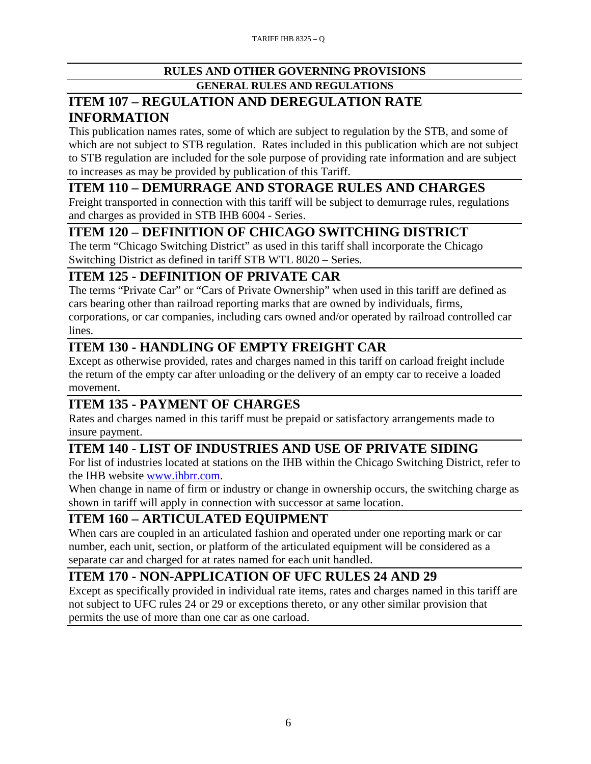#### **RULES AND OTHER GOVERNING PROVISIONS GENERAL RULES AND REGULATIONS**

### **ITEM 107 – REGULATION AND DEREGULATION RATE INFORMATION**

This publication names rates, some of which are subject to regulation by the STB, and some of which are not subject to STB regulation. Rates included in this publication which are not subject to STB regulation are included for the sole purpose of providing rate information and are subject to increases as may be provided by publication of this Tariff.

# **ITEM 110 – DEMURRAGE AND STORAGE RULES AND CHARGES**

Freight transported in connection with this tariff will be subject to demurrage rules, regulations and charges as provided in STB IHB 6004 - Series.

# **ITEM 120 – DEFINITION OF CHICAGO SWITCHING DISTRICT**

The term "Chicago Switching District" as used in this tariff shall incorporate the Chicago Switching District as defined in tariff STB WTL 8020 – Series.

# **ITEM 125 - DEFINITION OF PRIVATE CAR**

The terms "Private Car" or "Cars of Private Ownership" when used in this tariff are defined as cars bearing other than railroad reporting marks that are owned by individuals, firms, corporations, or car companies, including cars owned and/or operated by railroad controlled car lines.

# **ITEM 130 - HANDLING OF EMPTY FREIGHT CAR**

Except as otherwise provided, rates and charges named in this tariff on carload freight include the return of the empty car after unloading or the delivery of an empty car to receive a loaded movement.

# **ITEM 135 - PAYMENT OF CHARGES**

Rates and charges named in this tariff must be prepaid or satisfactory arrangements made to insure payment.

# **ITEM 140 - LIST OF INDUSTRIES AND USE OF PRIVATE SIDING**

For list of industries located at stations on the IHB within the Chicago Switching District, refer to the IHB website [www.ihbrr.com.](http://www.ihbrr.com/)

When change in name of firm or industry or change in ownership occurs, the switching charge as shown in tariff will apply in connection with successor at same location.

#### **ITEM 160 – ARTICULATED EQUIPMENT**

When cars are coupled in an articulated fashion and operated under one reporting mark or car number, each unit, section, or platform of the articulated equipment will be considered as a separate car and charged for at rates named for each unit handled.

# **ITEM 170 - NON-APPLICATION OF UFC RULES 24 AND 29**

Except as specifically provided in individual rate items, rates and charges named in this tariff are not subject to UFC rules 24 or 29 or exceptions thereto, or any other similar provision that permits the use of more than one car as one carload.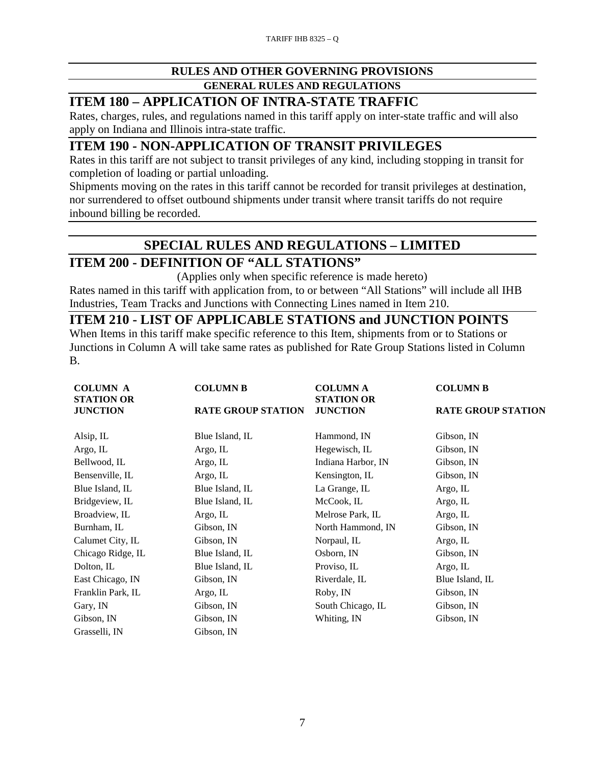# **RULES AND OTHER GOVERNING PROVISIONS**

#### **GENERAL RULES AND REGULATIONS**

#### **ITEM 180 – APPLICATION OF INTRA-STATE TRAFFIC**

Rates, charges, rules, and regulations named in this tariff apply on inter-state traffic and will also apply on Indiana and Illinois intra-state traffic.

#### **ITEM 190 - NON-APPLICATION OF TRANSIT PRIVILEGES**

Rates in this tariff are not subject to transit privileges of any kind, including stopping in transit for completion of loading or partial unloading.

Shipments moving on the rates in this tariff cannot be recorded for transit privileges at destination, nor surrendered to offset outbound shipments under transit where transit tariffs do not require inbound billing be recorded.

#### **SPECIAL RULES AND REGULATIONS – LIMITED**

# **ITEM 200 - DEFINITION OF "ALL STATIONS"**

(Applies only when specific reference is made hereto) Rates named in this tariff with application from, to or between "All Stations" will include all IHB Industries, Team Tracks and Junctions with Connecting Lines named in Item 210.

#### **ITEM 210 - LIST OF APPLICABLE STATIONS and JUNCTION POINTS**

When Items in this tariff make specific reference to this Item, shipments from or to Stations or Junctions in Column A will take same rates as published for Rate Group Stations listed in Column B.

| <b>COLUMN A</b>                                                                                           | <b>COLUMN B</b> | <b>COLUMN A</b>    | <b>COLUMN B</b>           |  |
|-----------------------------------------------------------------------------------------------------------|-----------------|--------------------|---------------------------|--|
| <b>STATION OR</b><br><b>STATION OR</b><br><b>RATE GROUP STATION</b><br><b>JUNCTION</b><br><b>JUNCTION</b> |                 |                    | <b>RATE GROUP STATION</b> |  |
| Alsip, IL                                                                                                 | Blue Island, IL | Hammond, IN        | Gibson, IN                |  |
| Argo, IL                                                                                                  | Argo, IL        | Hegewisch, IL      | Gibson, IN                |  |
| Bellwood, IL                                                                                              | Argo, IL        | Indiana Harbor, IN | Gibson, IN                |  |
| Bensenville, IL                                                                                           | Argo, IL        | Kensington, IL     | Gibson, IN                |  |
| Blue Island, IL                                                                                           | Blue Island, IL | La Grange, IL      | Argo, IL                  |  |
| Bridgeview, IL                                                                                            | Blue Island, IL | McCook, IL         | Argo, IL                  |  |
| Broadview, IL                                                                                             | Argo, IL        | Melrose Park, IL   | Argo, IL                  |  |
| Burnham, IL                                                                                               | Gibson, IN      | North Hammond, IN  | Gibson, IN                |  |
| Calumet City, IL                                                                                          | Gibson, IN      | Norpaul, IL        | Argo, IL                  |  |
| Chicago Ridge, IL                                                                                         | Blue Island, IL | Osborn, IN         | Gibson, IN                |  |
| Dolton, IL                                                                                                | Blue Island, IL | Proviso, IL        | Argo, IL                  |  |
| East Chicago, IN                                                                                          | Gibson, IN      | Riverdale, IL      | Blue Island, IL           |  |
| Franklin Park, IL                                                                                         | Argo, IL        | Roby, IN           | Gibson, IN                |  |
| Gary, IN                                                                                                  | Gibson, IN      | South Chicago, IL  | Gibson, IN                |  |
| Gibson, IN                                                                                                | Gibson, IN      | Whiting, IN        | Gibson, IN                |  |
| Grasselli, IN                                                                                             | Gibson, IN      |                    |                           |  |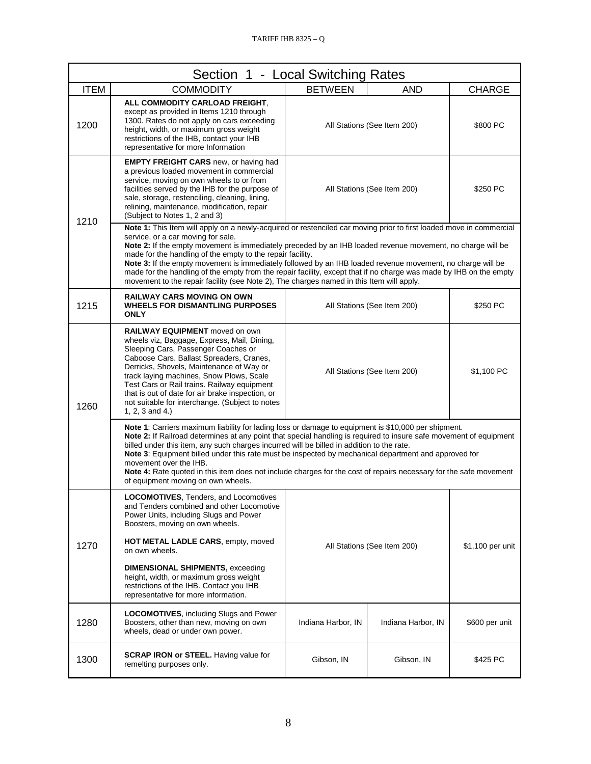| Section 1 - Local Switching Rates                                                                                                                                                                                                                                                                                                                                                                                                                                                                                                                                                                                                                                     |                                                                                                                                                                                                                                                                                                                                                                                                                                          |                             |                             |                  |
|-----------------------------------------------------------------------------------------------------------------------------------------------------------------------------------------------------------------------------------------------------------------------------------------------------------------------------------------------------------------------------------------------------------------------------------------------------------------------------------------------------------------------------------------------------------------------------------------------------------------------------------------------------------------------|------------------------------------------------------------------------------------------------------------------------------------------------------------------------------------------------------------------------------------------------------------------------------------------------------------------------------------------------------------------------------------------------------------------------------------------|-----------------------------|-----------------------------|------------------|
| <b>ITEM</b>                                                                                                                                                                                                                                                                                                                                                                                                                                                                                                                                                                                                                                                           | <b>COMMODITY</b>                                                                                                                                                                                                                                                                                                                                                                                                                         | <b>BETWEEN</b>              | <b>AND</b>                  | <b>CHARGE</b>    |
| 1200                                                                                                                                                                                                                                                                                                                                                                                                                                                                                                                                                                                                                                                                  | ALL COMMODITY CARLOAD FREIGHT.<br>except as provided in Items 1210 through<br>1300. Rates do not apply on cars exceeding<br>height, width, or maximum gross weight<br>restrictions of the IHB, contact your IHB<br>representative for more Information                                                                                                                                                                                   |                             | All Stations (See Item 200) | \$800 PC         |
| 1210                                                                                                                                                                                                                                                                                                                                                                                                                                                                                                                                                                                                                                                                  | <b>EMPTY FREIGHT CARS</b> new, or having had<br>a previous loaded movement in commercial<br>service, moving on own wheels to or from<br>facilities served by the IHB for the purpose of<br>sale, storage, restenciling, cleaning, lining,<br>relining, maintenance, modification, repair<br>(Subject to Notes 1, 2 and 3)                                                                                                                |                             | All Stations (See Item 200) | \$250 PC         |
| Note 1: This Item will apply on a newly-acquired or restenciled car moving prior to first loaded move in commercial<br>service, or a car moving for sale.<br>Note 2: If the empty movement is immediately preceded by an IHB loaded revenue movement, no charge will be<br>made for the handling of the empty to the repair facility.<br>Note 3: If the empty movement is immediately followed by an IHB loaded revenue movement, no charge will be<br>made for the handling of the empty from the repair facility, except that if no charge was made by IHB on the empty<br>movement to the repair facility (see Note 2), The charges named in this Item will apply. |                                                                                                                                                                                                                                                                                                                                                                                                                                          |                             |                             |                  |
| 1215                                                                                                                                                                                                                                                                                                                                                                                                                                                                                                                                                                                                                                                                  | <b>RAILWAY CARS MOVING ON OWN</b><br><b>WHEELS FOR DISMANTLING PURPOSES</b><br><b>ONLY</b>                                                                                                                                                                                                                                                                                                                                               |                             | All Stations (See Item 200) | \$250 PC         |
| 1260                                                                                                                                                                                                                                                                                                                                                                                                                                                                                                                                                                                                                                                                  | <b>RAILWAY EQUIPMENT</b> moved on own<br>wheels viz, Baggage, Express, Mail, Dining,<br>Sleeping Cars, Passenger Coaches or<br>Caboose Cars. Ballast Spreaders, Cranes,<br>Derricks, Shovels, Maintenance of Way or<br>track laying machines, Snow Plows, Scale<br>Test Cars or Rail trains. Railway equipment<br>that is out of date for air brake inspection, or<br>not suitable for interchange. (Subject to notes<br>1, 2, 3 and 4.) |                             | All Stations (See Item 200) | \$1,100 PC       |
| Note 1: Carriers maximum liability for lading loss or damage to equipment is \$10,000 per shipment.<br>Note 2: If Railroad determines at any point that special handling is required to insure safe movement of equipment<br>billed under this item, any such charges incurred will be billed in addition to the rate.<br>Note 3: Equipment billed under this rate must be inspected by mechanical department and approved for<br>movement over the IHB.<br>Note 4: Rate quoted in this item does not include charges for the cost of repairs necessary for the safe movement<br>of equipment moving on own wheels.                                                   |                                                                                                                                                                                                                                                                                                                                                                                                                                          |                             |                             |                  |
|                                                                                                                                                                                                                                                                                                                                                                                                                                                                                                                                                                                                                                                                       | LOCOMOTIVES, Tenders, and Locomotives<br>and Tenders combined and other Locomotive<br>Power Units, including Slugs and Power<br>Boosters, moving on own wheels.                                                                                                                                                                                                                                                                          |                             |                             |                  |
| 1270                                                                                                                                                                                                                                                                                                                                                                                                                                                                                                                                                                                                                                                                  | <b>HOT METAL LADLE CARS, empty, moved</b><br>on own wheels.                                                                                                                                                                                                                                                                                                                                                                              | All Stations (See Item 200) |                             | \$1,100 per unit |
|                                                                                                                                                                                                                                                                                                                                                                                                                                                                                                                                                                                                                                                                       | <b>DIMENSIONAL SHIPMENTS, exceeding</b><br>height, width, or maximum gross weight<br>restrictions of the IHB. Contact you IHB<br>representative for more information.                                                                                                                                                                                                                                                                    |                             |                             |                  |
| 1280                                                                                                                                                                                                                                                                                                                                                                                                                                                                                                                                                                                                                                                                  | <b>LOCOMOTIVES, including Slugs and Power</b><br>Boosters, other than new, moving on own<br>wheels, dead or under own power.                                                                                                                                                                                                                                                                                                             | Indiana Harbor, IN          | Indiana Harbor, IN          | \$600 per unit   |
| 1300                                                                                                                                                                                                                                                                                                                                                                                                                                                                                                                                                                                                                                                                  | <b>SCRAP IRON or STEEL.</b> Having value for<br>remelting purposes only.                                                                                                                                                                                                                                                                                                                                                                 | Gibson, IN                  | Gibson, IN                  | \$425 PC         |